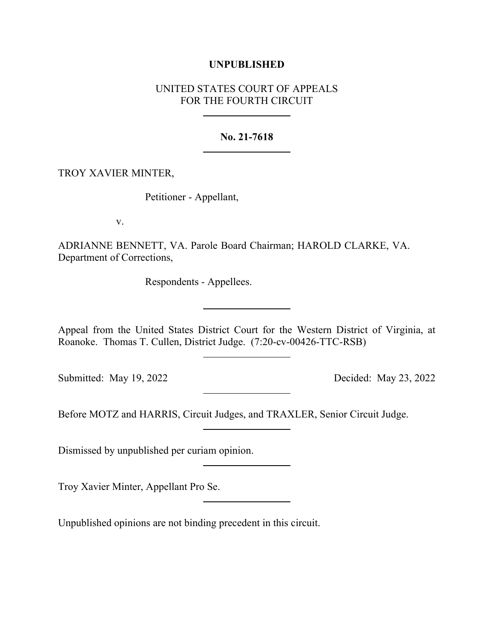## **UNPUBLISHED**

# UNITED STATES COURT OF APPEALS FOR THE FOURTH CIRCUIT

### **No. 21-7618**

### TROY XAVIER MINTER,

Petitioner - Appellant,

v.

ADRIANNE BENNETT, VA. Parole Board Chairman; HAROLD CLARKE, VA. Department of Corrections,

Respondents - Appellees.

Appeal from the United States District Court for the Western District of Virginia, at Roanoke. Thomas T. Cullen, District Judge. (7:20-cv-00426-TTC-RSB)

Submitted: May 19, 2022 Decided: May 23, 2022

Before MOTZ and HARRIS, Circuit Judges, and TRAXLER, Senior Circuit Judge.

Dismissed by unpublished per curiam opinion.

Troy Xavier Minter, Appellant Pro Se.

Unpublished opinions are not binding precedent in this circuit.